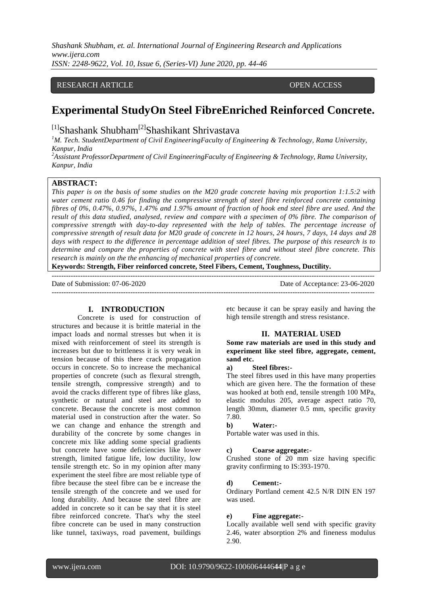*Shashank Shubham, et. al. International Journal of Engineering Research and Applications www.ijera.com ISSN: 2248-9622, Vol. 10, Issue 6, (Series-VI) June 2020, pp. 44-46*

# RESEARCH ARTICLE **OPEN ACCESS**

# **Experimental StudyOn Steel FibreEnriched Reinforced Concrete.**

<sup>[1]</sup>Shashank Shubham<sup>[2]</sup>Shashikant Shrivastava

*<sup>1</sup>M. Tech. StudentDepartment of Civil EngineeringFaculty of Engineering & Technology, Rama University, Kanpur, India*

*<sup>2</sup>Assistant ProfessorDepartment of Civil EngineeringFaculty of Engineering & Technology, Rama University, Kanpur, India*

#### **ABSTRACT:**

*This paper is on the basis of some studies on the M20 grade concrete having mix proportion 1:1.5:2 with water cement ratio 0.46 for finding the compressive strength of steel fibre reinforced concrete containing fibres of 0%, 0.47%, 0.97%, 1.47% and 1.97% amount of fraction of hook end steel fibre are used. And the result of this data studied, analysed, review and compare with a specimen of 0% fibre. The comparison of compressive strength with day-to-day represented with the help of tables. The percentage increase of compressive strength of result data for M20 grade of concrete in 12 hours, 24 hours, 7 days, 14 days and 28 days with respect to the difference in percentage addition of steel fibres. The purpose of this research is to determine and compare the properties of concrete with steel fibre and without steel fibre concrete. This research is mainly on the the enhancing of mechanical properties of concrete.*

**Keywords: Strength, Fiber reinforced concrete, Steel Fibers, Cement, Toughness, Ductility.**

Date of Submission: 07-06-2020 Date of Acceptance: 23-06-2020

---------------------------------------------------------------------------------------------------------------------------------------

### **I. INTRODUCTION**

Concrete is used for construction of structures and because it is brittle material in the impact loads and normal stresses but when it is mixed with reinforcement of steel its strength is increases but due to brittleness it is very weak in tension because of this there crack propagation occurs in concrete. So to increase the mechanical properties of concrete (such as flexural strength, tensile strength, compressive strength) and to avoid the cracks different type of fibres like glass, synthetic or natural and steel are added to concrete. Because the concrete is most common material used in construction after the water. So we can change and enhance the strength and durability of the concrete by some changes in concrete mix like adding some special gradients but concrete have some deficiencies like lower strength, limited fatigue life, low ductility, low tensile strength etc. So in my opinion after many experiment the steel fibre are most reliable type of fibre because the steel fibre can be e increase the tensile strength of the concrete and we used for long durability. And because the steel fibre are added in concrete so it can be say that it is steel fibre reinforced concrete. That's why the steel fibre concrete can be used in many construction like tunnel, taxiways, road pavement, buildings

etc because it can be spray easily and having the high tensile strength and stress resistance.

#### **II. MATERIAL USED**

**Some raw materials are used in this study and experiment like steel fibre, aggregate, cement, sand etc.**

**a) Steel fibres:-**

The steel fibres used in this have many properties which are given here. The the formation of these was hooked at both end, tensile strength 100 MPa, elastic modulus 205, average aspect ratio 70, length 30mm, diameter 0.5 mm, specific gravity 7.80.

#### **b) Water:-**

Portable water was used in this.

#### **c) Coarse aggregate:-**

Crushed stone of 20 mm size having specific gravity confirming to IS:393-1970.

#### **d) Cement:-**

Ordinary Portland cement 42.5 N/R DIN EN 197 was used.

# **e) Fine aggregate:-**

Locally available well send with specific gravity 2.46, water absorption 2% and fineness modulus 2.90.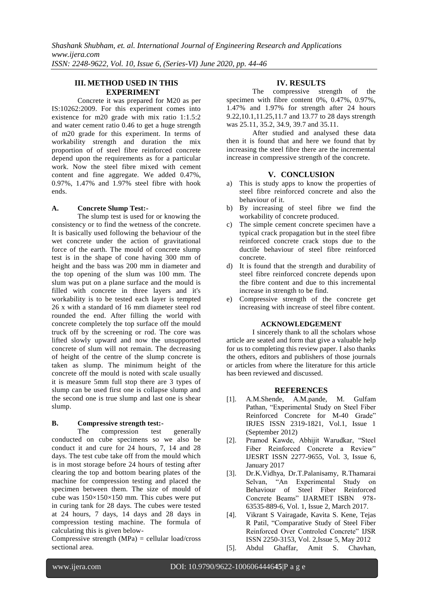# **III. METHOD USED IN THIS EXPERIMENT**

Concrete it was prepared for M20 as per IS:10262:2009. For this experiment comes into existence for m20 grade with mix ratio 1:1.5:2 and water cement ratio 0.46 to get a huge strength of m20 grade for this experiment. In terms of workability strength and duration the mix proportion of of steel fibre reinforced concrete depend upon the requirements as for a particular work. Now the steel fibre mixed with cement content and fine aggregate. We added 0.47%, 0.97%, 1.47% and 1.97% steel fibre with hook ends.

### **A. Concrete Slump Test:-**

The slump test is used for or knowing the consistency or to find the wetness of the concrete. It is basically used following the behaviour of the wet concrete under the action of gravitational force of the earth. The mould of concrete slump test is in the shape of cone having 300 mm of height and the bass was 200 mm in diameter and the top opening of the slum was 100 mm. The slum was put on a plane surface and the mould is filled with concrete in three layers and it's workability is to be tested each layer is tempted 26 x with a standard of 16 mm diameter steel rod rounded the end. After filling the world with concrete completely the top surface off the mould truck off by the screening or rod. The core was lifted slowly upward and now the unsupported concrete of slum will not remain. The decreasing of height of the centre of the slump concrete is taken as slump. The minimum height of the concrete off the mould is noted with scale usually it is measure 5mm full stop there are 3 types of slump can be used first one is collapse slump and the second one is true slump and last one is shear slump.

### **B. Compressive strength test:-**

The compression test generally conducted on cube specimens so we also be conduct it and cure for 24 hours, 7, 14 and 28 days. The test cube take off from the mould which is in most storage before 24 hours of testing after clearing the top and bottom bearing plates of the machine for compression testing and placed the specimen between them. The size of mould of cube was 150×150×150 mm. This cubes were put in curing tank for 28 days. The cubes were tested at 24 hours, 7 days, 14 days and 28 days in compression testing machine. The formula of calculating this is given below-

Compressive strength  $(MPa) =$  cellular load/cross sectional area.

# **IV. RESULTS**

The compressive strength of the specimen with fibre content 0%, 0.47%, 0.97%, 1.47% and 1.97% for strength after 24 hours 9.22,10.1,11.25,11.7 and 13.77 to 28 days strength was 25.11, 35.2, 34.9, 39.7 and 35.11.

After studied and analysed these data then it is found that and here we found that by increasing the steel fibre there are the incremental increase in compressive strength of the concrete.

# **V. CONCLUSION**

- a) This is study apps to know the properties of steel fibre reinforced concrete and also the behaviour of it.
- b) By increasing of steel fibre we find the workability of concrete produced.
- c) The simple cement concrete specimen have a typical crack propagation but in the steel fibre reinforced concrete crack stops due to the ductile behaviour of steel fibre reinforced concrete.
- d) It is found that the strength and durability of steel fibre reinforced concrete depends upon the fibre content and due to this incremental increase in strength to be find.
- e) Compressive strength of the concrete get increasing with increase of steel fibre content.

### **ACKNOWLEDGEMENT**

I sincerely thank to all the scholars whose article are seated and form that give a valuable help for us to completing this review paper. I also thanks the others, editors and publishers of those journals or articles from where the literature for this article has been reviewed and discussed.

### **REFERENCES**

- [1]. A.M.Shende, A.M.pande, M. Gulfam Pathan, "Experimental Study on Steel Fiber Reinforced Concrete for M-40 Grade" IRJES ISSN 2319-1821, Vol.1, Issue 1 (September 2012)
- [2]. Pramod Kawde, Abhijit Warudkar, "Steel Fiber Reinforced Concrete a Review" IJESRT ISSN 2277-9655, Vol. 3, Issue 6, January 2017
- [3]. Dr.K.Vidhya, Dr.T.Palanisamy, R.Thamarai Selvan, "An Experimental Study on Behaviour of Steel Fiber Reinforced Concrete Beams" IJARMET ISBN 978- 63535-889-6, Vol. 1, Issue 2, March 2017.
- [4]. Vikrant S Vairagade, Kavita S. Kene, Tejas R Patil, "Comparative Study of Steel Fiber Reinforced Over Controled Concrete" IJSR ISSN 2250-3153, Vol. 2,Issue 5, May 2012
- [5]. Abdul Ghaffar, Amit S. Chavhan,